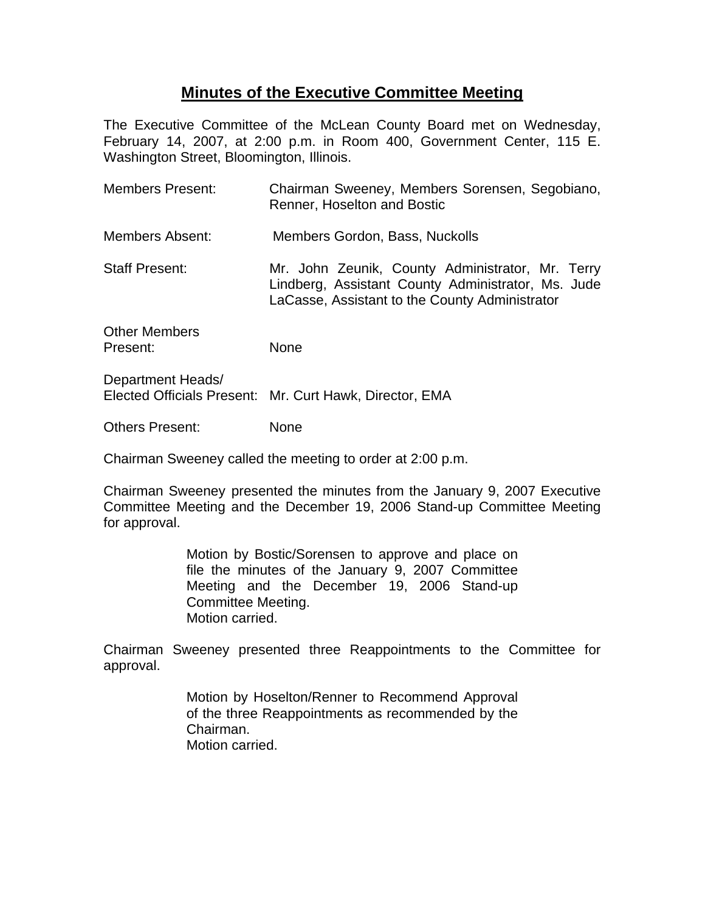## **Minutes of the Executive Committee Meeting**

The Executive Committee of the McLean County Board met on Wednesday, February 14, 2007, at 2:00 p.m. in Room 400, Government Center, 115 E. Washington Street, Bloomington, Illinois.

| <b>Members Present:</b>          | Chairman Sweeney, Members Sorensen, Segobiano,<br>Renner, Hoselton and Bostic                                                                            |
|----------------------------------|----------------------------------------------------------------------------------------------------------------------------------------------------------|
| Members Absent:                  | Members Gordon, Bass, Nuckolls                                                                                                                           |
| <b>Staff Present:</b>            | Mr. John Zeunik, County Administrator, Mr. Terry<br>Lindberg, Assistant County Administrator, Ms. Jude<br>LaCasse, Assistant to the County Administrator |
| <b>Other Members</b><br>Present: | None                                                                                                                                                     |
| Department Heads/                |                                                                                                                                                          |

Elected Officials Present: Mr. Curt Hawk, Director, EMA

Others Present: None

Chairman Sweeney called the meeting to order at 2:00 p.m.

Chairman Sweeney presented the minutes from the January 9, 2007 Executive Committee Meeting and the December 19, 2006 Stand-up Committee Meeting for approval.

> Motion by Bostic/Sorensen to approve and place on file the minutes of the January 9, 2007 Committee Meeting and the December 19, 2006 Stand-up Committee Meeting. Motion carried.

Chairman Sweeney presented three Reappointments to the Committee for approval.

> Motion by Hoselton/Renner to Recommend Approval of the three Reappointments as recommended by the Chairman. Motion carried.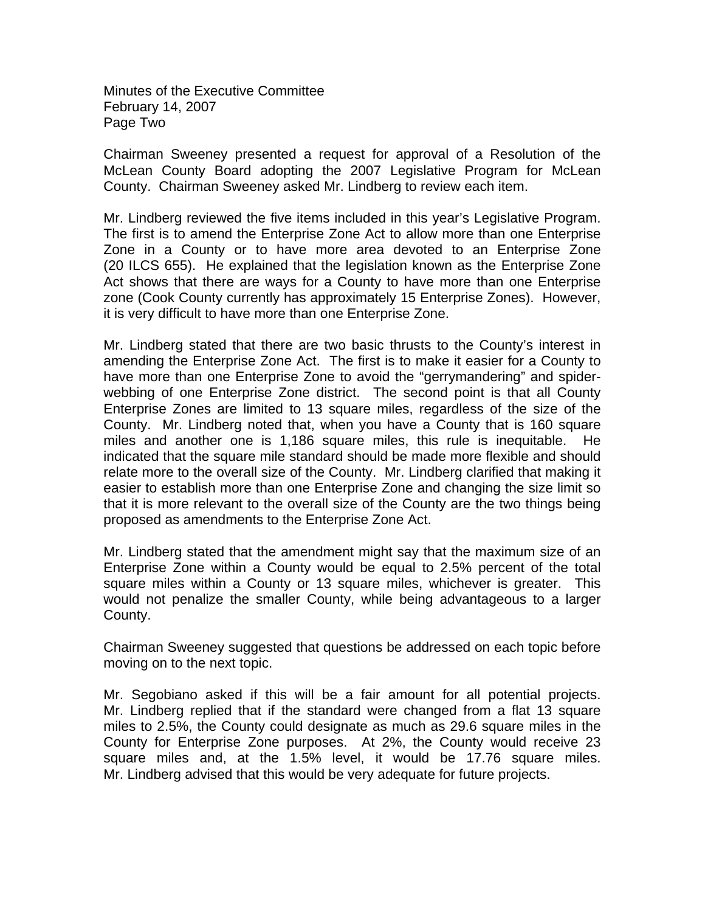Minutes of the Executive Committee February 14, 2007 Page Two

Chairman Sweeney presented a request for approval of a Resolution of the McLean County Board adopting the 2007 Legislative Program for McLean County. Chairman Sweeney asked Mr. Lindberg to review each item.

Mr. Lindberg reviewed the five items included in this year's Legislative Program. The first is to amend the Enterprise Zone Act to allow more than one Enterprise Zone in a County or to have more area devoted to an Enterprise Zone (20 ILCS 655). He explained that the legislation known as the Enterprise Zone Act shows that there are ways for a County to have more than one Enterprise zone (Cook County currently has approximately 15 Enterprise Zones). However, it is very difficult to have more than one Enterprise Zone.

Mr. Lindberg stated that there are two basic thrusts to the County's interest in amending the Enterprise Zone Act. The first is to make it easier for a County to have more than one Enterprise Zone to avoid the "gerrymandering" and spiderwebbing of one Enterprise Zone district. The second point is that all County Enterprise Zones are limited to 13 square miles, regardless of the size of the County. Mr. Lindberg noted that, when you have a County that is 160 square miles and another one is 1,186 square miles, this rule is inequitable. He indicated that the square mile standard should be made more flexible and should relate more to the overall size of the County. Mr. Lindberg clarified that making it easier to establish more than one Enterprise Zone and changing the size limit so that it is more relevant to the overall size of the County are the two things being proposed as amendments to the Enterprise Zone Act.

Mr. Lindberg stated that the amendment might say that the maximum size of an Enterprise Zone within a County would be equal to 2.5% percent of the total square miles within a County or 13 square miles, whichever is greater. This would not penalize the smaller County, while being advantageous to a larger County.

Chairman Sweeney suggested that questions be addressed on each topic before moving on to the next topic.

Mr. Segobiano asked if this will be a fair amount for all potential projects. Mr. Lindberg replied that if the standard were changed from a flat 13 square miles to 2.5%, the County could designate as much as 29.6 square miles in the County for Enterprise Zone purposes. At 2%, the County would receive 23 square miles and, at the 1.5% level, it would be 17.76 square miles. Mr. Lindberg advised that this would be very adequate for future projects.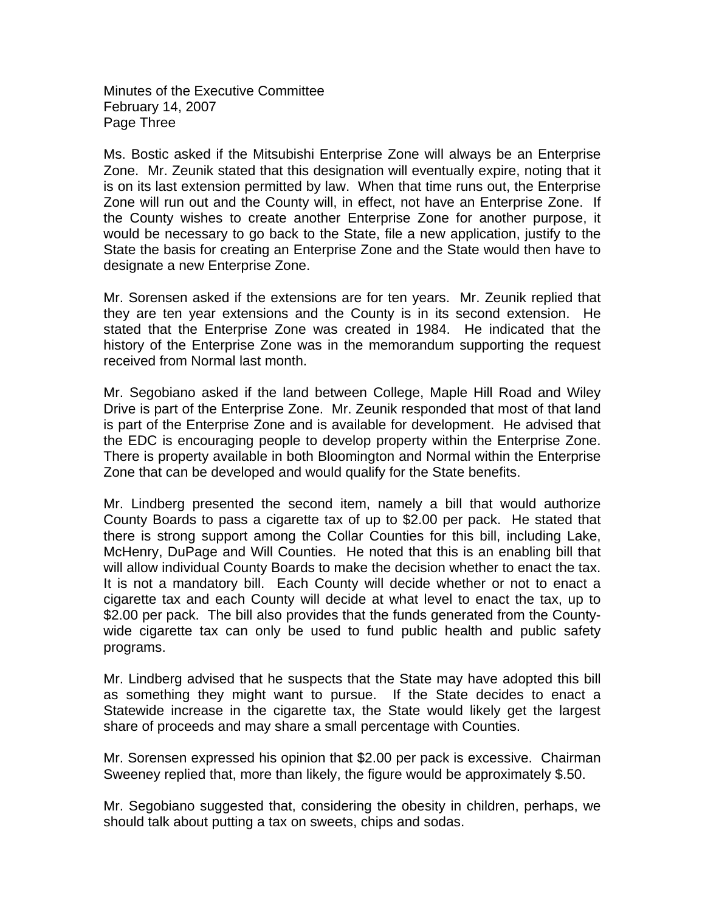Minutes of the Executive Committee February 14, 2007 Page Three

Ms. Bostic asked if the Mitsubishi Enterprise Zone will always be an Enterprise Zone. Mr. Zeunik stated that this designation will eventually expire, noting that it is on its last extension permitted by law. When that time runs out, the Enterprise Zone will run out and the County will, in effect, not have an Enterprise Zone. If the County wishes to create another Enterprise Zone for another purpose, it would be necessary to go back to the State, file a new application, justify to the State the basis for creating an Enterprise Zone and the State would then have to designate a new Enterprise Zone.

Mr. Sorensen asked if the extensions are for ten years. Mr. Zeunik replied that they are ten year extensions and the County is in its second extension. He stated that the Enterprise Zone was created in 1984. He indicated that the history of the Enterprise Zone was in the memorandum supporting the request received from Normal last month.

Mr. Segobiano asked if the land between College, Maple Hill Road and Wiley Drive is part of the Enterprise Zone. Mr. Zeunik responded that most of that land is part of the Enterprise Zone and is available for development. He advised that the EDC is encouraging people to develop property within the Enterprise Zone. There is property available in both Bloomington and Normal within the Enterprise Zone that can be developed and would qualify for the State benefits.

Mr. Lindberg presented the second item, namely a bill that would authorize County Boards to pass a cigarette tax of up to \$2.00 per pack. He stated that there is strong support among the Collar Counties for this bill, including Lake, McHenry, DuPage and Will Counties. He noted that this is an enabling bill that will allow individual County Boards to make the decision whether to enact the tax. It is not a mandatory bill. Each County will decide whether or not to enact a cigarette tax and each County will decide at what level to enact the tax, up to \$2.00 per pack. The bill also provides that the funds generated from the Countywide cigarette tax can only be used to fund public health and public safety programs.

Mr. Lindberg advised that he suspects that the State may have adopted this bill as something they might want to pursue. If the State decides to enact a Statewide increase in the cigarette tax, the State would likely get the largest share of proceeds and may share a small percentage with Counties.

Mr. Sorensen expressed his opinion that \$2.00 per pack is excessive. Chairman Sweeney replied that, more than likely, the figure would be approximately \$.50.

Mr. Segobiano suggested that, considering the obesity in children, perhaps, we should talk about putting a tax on sweets, chips and sodas.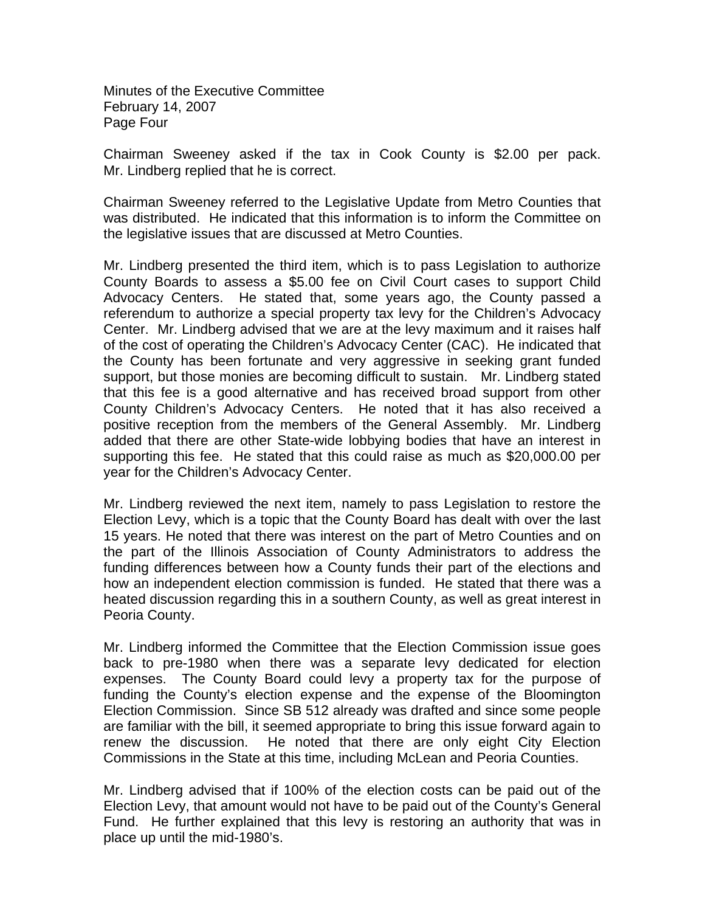Minutes of the Executive Committee February 14, 2007 Page Four

Chairman Sweeney asked if the tax in Cook County is \$2.00 per pack. Mr. Lindberg replied that he is correct.

Chairman Sweeney referred to the Legislative Update from Metro Counties that was distributed. He indicated that this information is to inform the Committee on the legislative issues that are discussed at Metro Counties.

Mr. Lindberg presented the third item, which is to pass Legislation to authorize County Boards to assess a \$5.00 fee on Civil Court cases to support Child Advocacy Centers. He stated that, some years ago, the County passed a referendum to authorize a special property tax levy for the Children's Advocacy Center. Mr. Lindberg advised that we are at the levy maximum and it raises half of the cost of operating the Children's Advocacy Center (CAC). He indicated that the County has been fortunate and very aggressive in seeking grant funded support, but those monies are becoming difficult to sustain. Mr. Lindberg stated that this fee is a good alternative and has received broad support from other County Children's Advocacy Centers. He noted that it has also received a positive reception from the members of the General Assembly. Mr. Lindberg added that there are other State-wide lobbying bodies that have an interest in supporting this fee. He stated that this could raise as much as \$20,000.00 per year for the Children's Advocacy Center.

Mr. Lindberg reviewed the next item, namely to pass Legislation to restore the Election Levy, which is a topic that the County Board has dealt with over the last 15 years. He noted that there was interest on the part of Metro Counties and on the part of the Illinois Association of County Administrators to address the funding differences between how a County funds their part of the elections and how an independent election commission is funded. He stated that there was a heated discussion regarding this in a southern County, as well as great interest in Peoria County.

Mr. Lindberg informed the Committee that the Election Commission issue goes back to pre-1980 when there was a separate levy dedicated for election expenses. The County Board could levy a property tax for the purpose of funding the County's election expense and the expense of the Bloomington Election Commission. Since SB 512 already was drafted and since some people are familiar with the bill, it seemed appropriate to bring this issue forward again to renew the discussion. He noted that there are only eight City Election Commissions in the State at this time, including McLean and Peoria Counties.

Mr. Lindberg advised that if 100% of the election costs can be paid out of the Election Levy, that amount would not have to be paid out of the County's General Fund. He further explained that this levy is restoring an authority that was in place up until the mid-1980's.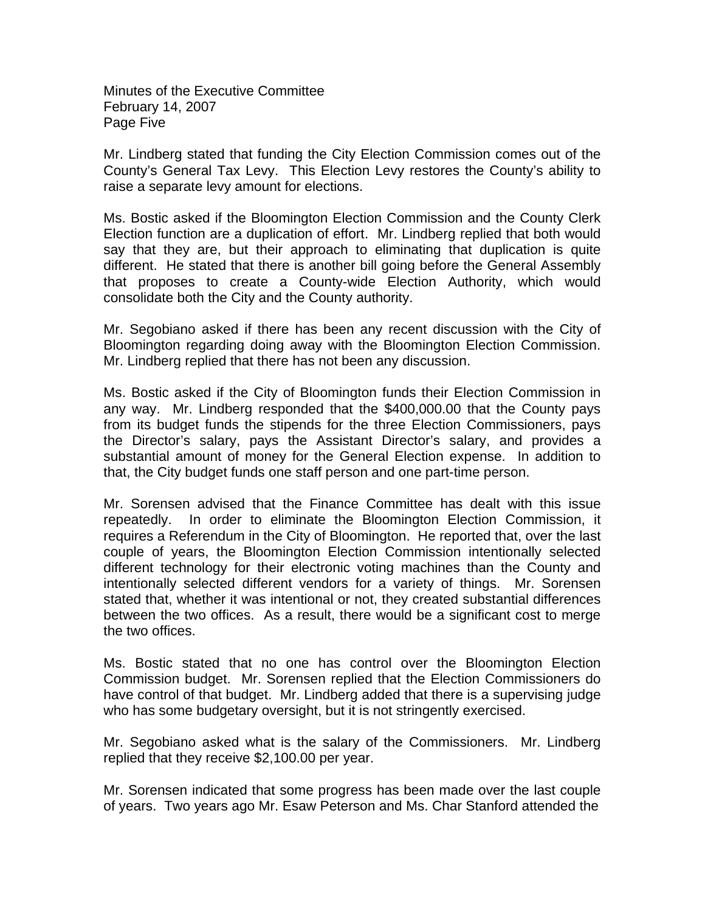Minutes of the Executive Committee February 14, 2007 Page Five

Mr. Lindberg stated that funding the City Election Commission comes out of the County's General Tax Levy. This Election Levy restores the County's ability to raise a separate levy amount for elections.

Ms. Bostic asked if the Bloomington Election Commission and the County Clerk Election function are a duplication of effort. Mr. Lindberg replied that both would say that they are, but their approach to eliminating that duplication is quite different. He stated that there is another bill going before the General Assembly that proposes to create a County-wide Election Authority, which would consolidate both the City and the County authority.

Mr. Segobiano asked if there has been any recent discussion with the City of Bloomington regarding doing away with the Bloomington Election Commission. Mr. Lindberg replied that there has not been any discussion.

Ms. Bostic asked if the City of Bloomington funds their Election Commission in any way. Mr. Lindberg responded that the \$400,000.00 that the County pays from its budget funds the stipends for the three Election Commissioners, pays the Director's salary, pays the Assistant Director's salary, and provides a substantial amount of money for the General Election expense. In addition to that, the City budget funds one staff person and one part-time person.

Mr. Sorensen advised that the Finance Committee has dealt with this issue repeatedly. In order to eliminate the Bloomington Election Commission, it requires a Referendum in the City of Bloomington. He reported that, over the last couple of years, the Bloomington Election Commission intentionally selected different technology for their electronic voting machines than the County and intentionally selected different vendors for a variety of things. Mr. Sorensen stated that, whether it was intentional or not, they created substantial differences between the two offices. As a result, there would be a significant cost to merge the two offices.

Ms. Bostic stated that no one has control over the Bloomington Election Commission budget. Mr. Sorensen replied that the Election Commissioners do have control of that budget. Mr. Lindberg added that there is a supervising judge who has some budgetary oversight, but it is not stringently exercised.

Mr. Segobiano asked what is the salary of the Commissioners. Mr. Lindberg replied that they receive \$2,100.00 per year.

Mr. Sorensen indicated that some progress has been made over the last couple of years. Two years ago Mr. Esaw Peterson and Ms. Char Stanford attended the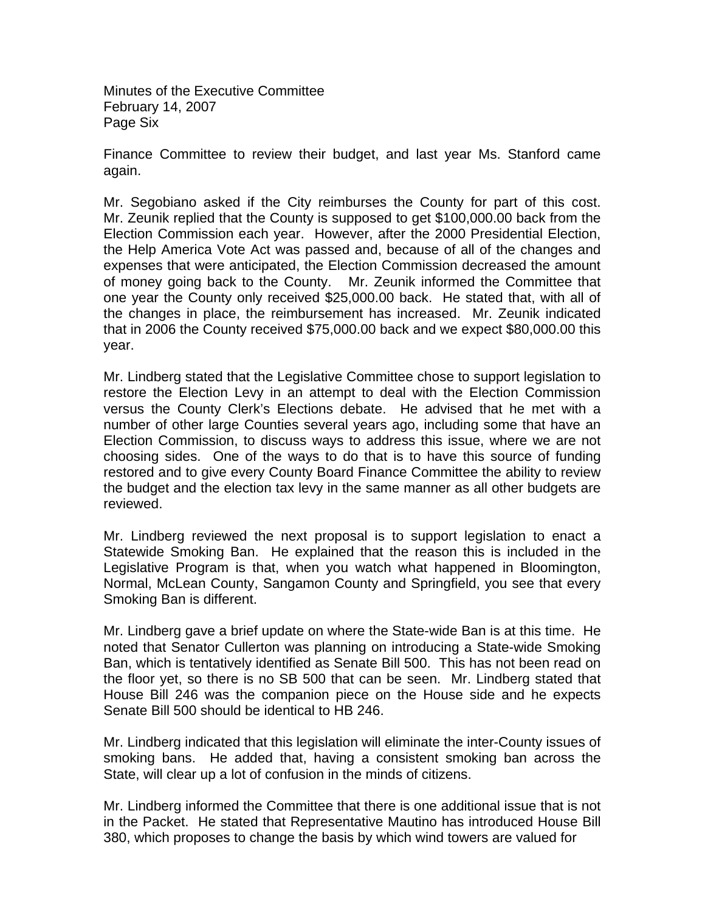Minutes of the Executive Committee February 14, 2007 Page Six

Finance Committee to review their budget, and last year Ms. Stanford came again.

Mr. Segobiano asked if the City reimburses the County for part of this cost. Mr. Zeunik replied that the County is supposed to get \$100,000.00 back from the Election Commission each year. However, after the 2000 Presidential Election, the Help America Vote Act was passed and, because of all of the changes and expenses that were anticipated, the Election Commission decreased the amount of money going back to the County. Mr. Zeunik informed the Committee that one year the County only received \$25,000.00 back. He stated that, with all of the changes in place, the reimbursement has increased. Mr. Zeunik indicated that in 2006 the County received \$75,000.00 back and we expect \$80,000.00 this year.

Mr. Lindberg stated that the Legislative Committee chose to support legislation to restore the Election Levy in an attempt to deal with the Election Commission versus the County Clerk's Elections debate. He advised that he met with a number of other large Counties several years ago, including some that have an Election Commission, to discuss ways to address this issue, where we are not choosing sides. One of the ways to do that is to have this source of funding restored and to give every County Board Finance Committee the ability to review the budget and the election tax levy in the same manner as all other budgets are reviewed.

Mr. Lindberg reviewed the next proposal is to support legislation to enact a Statewide Smoking Ban. He explained that the reason this is included in the Legislative Program is that, when you watch what happened in Bloomington, Normal, McLean County, Sangamon County and Springfield, you see that every Smoking Ban is different.

Mr. Lindberg gave a brief update on where the State-wide Ban is at this time. He noted that Senator Cullerton was planning on introducing a State-wide Smoking Ban, which is tentatively identified as Senate Bill 500. This has not been read on the floor yet, so there is no SB 500 that can be seen. Mr. Lindberg stated that House Bill 246 was the companion piece on the House side and he expects Senate Bill 500 should be identical to HB 246.

Mr. Lindberg indicated that this legislation will eliminate the inter-County issues of smoking bans. He added that, having a consistent smoking ban across the State, will clear up a lot of confusion in the minds of citizens.

Mr. Lindberg informed the Committee that there is one additional issue that is not in the Packet. He stated that Representative Mautino has introduced House Bill 380, which proposes to change the basis by which wind towers are valued for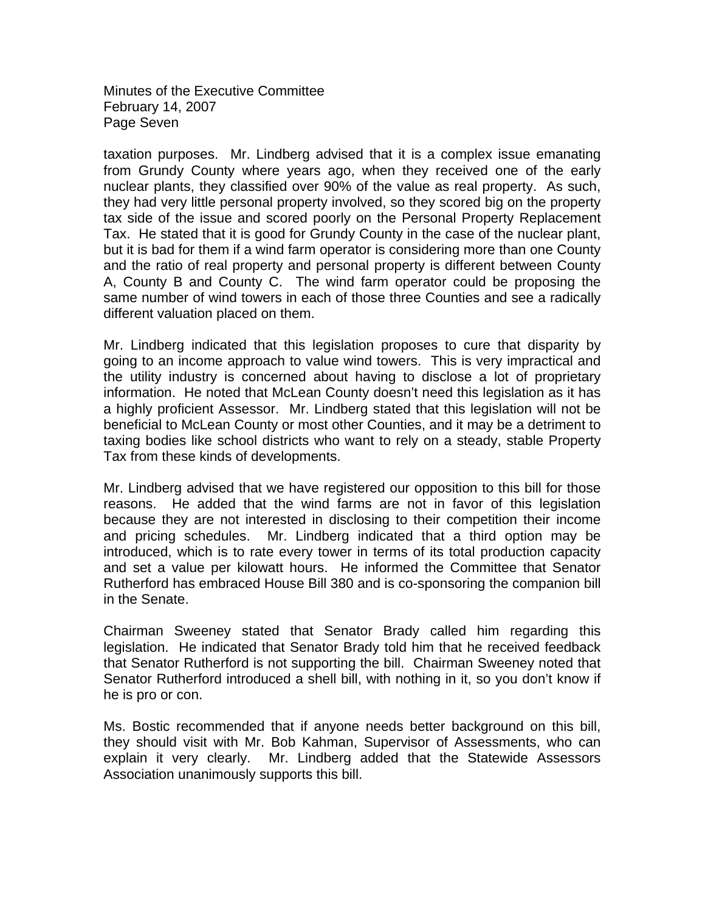Minutes of the Executive Committee February 14, 2007 Page Seven

taxation purposes. Mr. Lindberg advised that it is a complex issue emanating from Grundy County where years ago, when they received one of the early nuclear plants, they classified over 90% of the value as real property. As such, they had very little personal property involved, so they scored big on the property tax side of the issue and scored poorly on the Personal Property Replacement Tax. He stated that it is good for Grundy County in the case of the nuclear plant, but it is bad for them if a wind farm operator is considering more than one County and the ratio of real property and personal property is different between County A, County B and County C. The wind farm operator could be proposing the same number of wind towers in each of those three Counties and see a radically different valuation placed on them.

Mr. Lindberg indicated that this legislation proposes to cure that disparity by going to an income approach to value wind towers. This is very impractical and the utility industry is concerned about having to disclose a lot of proprietary information. He noted that McLean County doesn't need this legislation as it has a highly proficient Assessor. Mr. Lindberg stated that this legislation will not be beneficial to McLean County or most other Counties, and it may be a detriment to taxing bodies like school districts who want to rely on a steady, stable Property Tax from these kinds of developments.

Mr. Lindberg advised that we have registered our opposition to this bill for those reasons. He added that the wind farms are not in favor of this legislation because they are not interested in disclosing to their competition their income and pricing schedules. Mr. Lindberg indicated that a third option may be introduced, which is to rate every tower in terms of its total production capacity and set a value per kilowatt hours. He informed the Committee that Senator Rutherford has embraced House Bill 380 and is co-sponsoring the companion bill in the Senate.

Chairman Sweeney stated that Senator Brady called him regarding this legislation. He indicated that Senator Brady told him that he received feedback that Senator Rutherford is not supporting the bill. Chairman Sweeney noted that Senator Rutherford introduced a shell bill, with nothing in it, so you don't know if he is pro or con.

Ms. Bostic recommended that if anyone needs better background on this bill, they should visit with Mr. Bob Kahman, Supervisor of Assessments, who can explain it very clearly. Mr. Lindberg added that the Statewide Assessors Association unanimously supports this bill.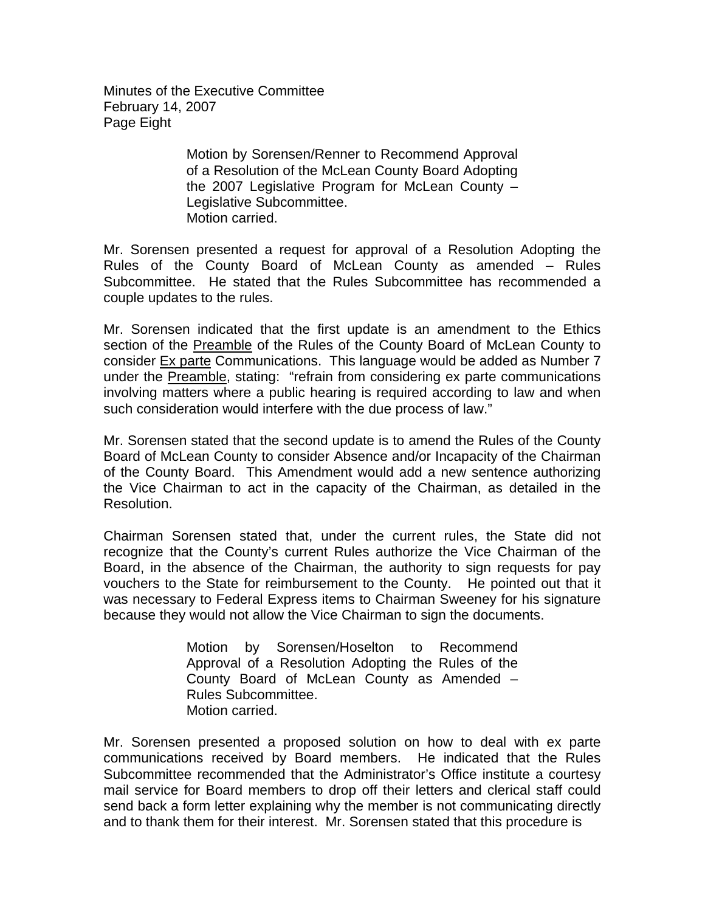Minutes of the Executive Committee February 14, 2007 Page Eight

> Motion by Sorensen/Renner to Recommend Approval of a Resolution of the McLean County Board Adopting the 2007 Legislative Program for McLean County – Legislative Subcommittee. Motion carried.

Mr. Sorensen presented a request for approval of a Resolution Adopting the Rules of the County Board of McLean County as amended – Rules Subcommittee. He stated that the Rules Subcommittee has recommended a couple updates to the rules.

Mr. Sorensen indicated that the first update is an amendment to the Ethics section of the Preamble of the Rules of the County Board of McLean County to consider Ex parte Communications. This language would be added as Number 7 under the Preamble, stating: "refrain from considering ex parte communications involving matters where a public hearing is required according to law and when such consideration would interfere with the due process of law."

Mr. Sorensen stated that the second update is to amend the Rules of the County Board of McLean County to consider Absence and/or Incapacity of the Chairman of the County Board. This Amendment would add a new sentence authorizing the Vice Chairman to act in the capacity of the Chairman, as detailed in the Resolution.

Chairman Sorensen stated that, under the current rules, the State did not recognize that the County's current Rules authorize the Vice Chairman of the Board, in the absence of the Chairman, the authority to sign requests for pay vouchers to the State for reimbursement to the County. He pointed out that it was necessary to Federal Express items to Chairman Sweeney for his signature because they would not allow the Vice Chairman to sign the documents.

> Motion by Sorensen/Hoselton to Recommend Approval of a Resolution Adopting the Rules of the County Board of McLean County as Amended – Rules Subcommittee. Motion carried.

Mr. Sorensen presented a proposed solution on how to deal with ex parte communications received by Board members. He indicated that the Rules Subcommittee recommended that the Administrator's Office institute a courtesy mail service for Board members to drop off their letters and clerical staff could send back a form letter explaining why the member is not communicating directly and to thank them for their interest. Mr. Sorensen stated that this procedure is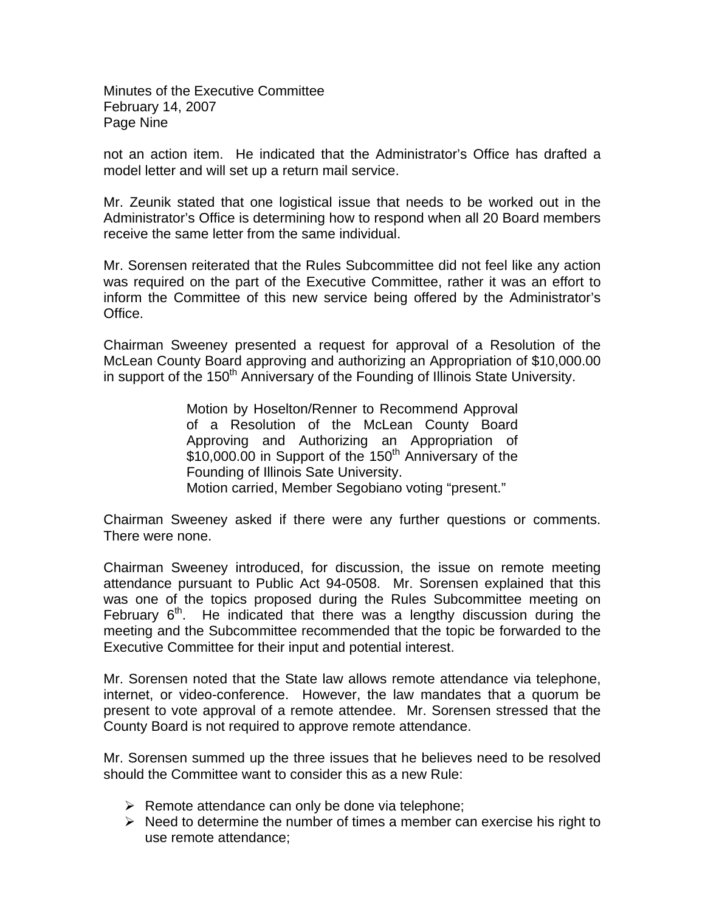Minutes of the Executive Committee February 14, 2007 Page Nine

not an action item. He indicated that the Administrator's Office has drafted a model letter and will set up a return mail service.

Mr. Zeunik stated that one logistical issue that needs to be worked out in the Administrator's Office is determining how to respond when all 20 Board members receive the same letter from the same individual.

Mr. Sorensen reiterated that the Rules Subcommittee did not feel like any action was required on the part of the Executive Committee, rather it was an effort to inform the Committee of this new service being offered by the Administrator's Office.

Chairman Sweeney presented a request for approval of a Resolution of the McLean County Board approving and authorizing an Appropriation of \$10,000.00 in support of the 150<sup>th</sup> Anniversary of the Founding of Illinois State University.

> Motion by Hoselton/Renner to Recommend Approval of a Resolution of the McLean County Board Approving and Authorizing an Appropriation of \$10,000.00 in Support of the 150<sup>th</sup> Anniversary of the Founding of Illinois Sate University. Motion carried, Member Segobiano voting "present."

Chairman Sweeney asked if there were any further questions or comments. There were none.

Chairman Sweeney introduced, for discussion, the issue on remote meeting attendance pursuant to Public Act 94-0508. Mr. Sorensen explained that this was one of the topics proposed during the Rules Subcommittee meeting on February  $6<sup>th</sup>$ . He indicated that there was a lengthy discussion during the meeting and the Subcommittee recommended that the topic be forwarded to the Executive Committee for their input and potential interest.

Mr. Sorensen noted that the State law allows remote attendance via telephone, internet, or video-conference. However, the law mandates that a quorum be present to vote approval of a remote attendee. Mr. Sorensen stressed that the County Board is not required to approve remote attendance.

Mr. Sorensen summed up the three issues that he believes need to be resolved should the Committee want to consider this as a new Rule:

- $\triangleright$  Remote attendance can only be done via telephone;
- $\triangleright$  Need to determine the number of times a member can exercise his right to use remote attendance;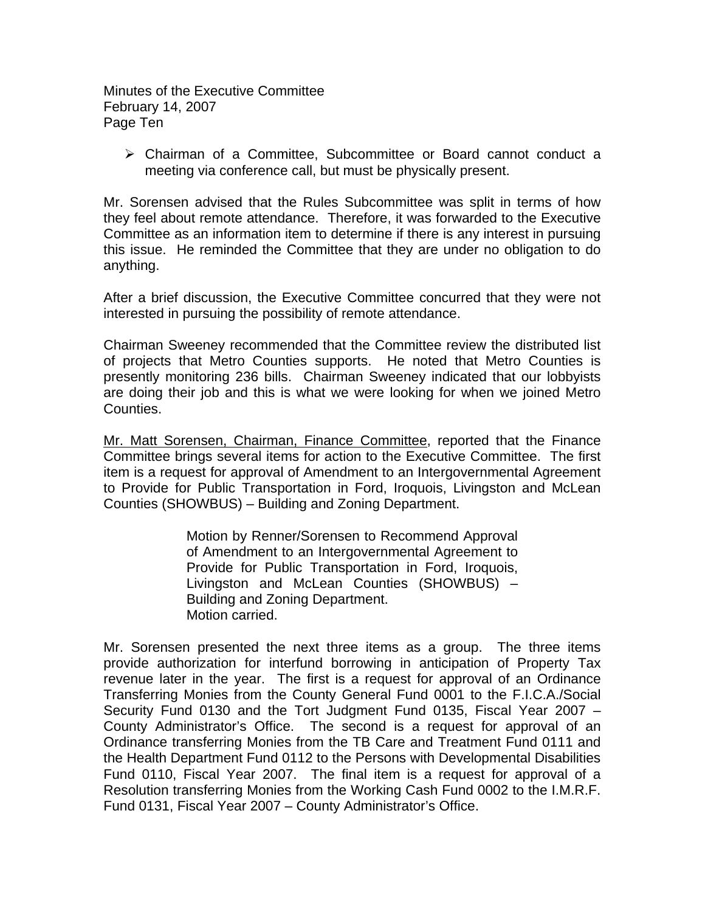Minutes of the Executive Committee February 14, 2007 Page Ten

¾ Chairman of a Committee, Subcommittee or Board cannot conduct a meeting via conference call, but must be physically present.

Mr. Sorensen advised that the Rules Subcommittee was split in terms of how they feel about remote attendance. Therefore, it was forwarded to the Executive Committee as an information item to determine if there is any interest in pursuing this issue. He reminded the Committee that they are under no obligation to do anything.

After a brief discussion, the Executive Committee concurred that they were not interested in pursuing the possibility of remote attendance.

Chairman Sweeney recommended that the Committee review the distributed list of projects that Metro Counties supports. He noted that Metro Counties is presently monitoring 236 bills. Chairman Sweeney indicated that our lobbyists are doing their job and this is what we were looking for when we joined Metro Counties.

Mr. Matt Sorensen, Chairman, Finance Committee, reported that the Finance Committee brings several items for action to the Executive Committee. The first item is a request for approval of Amendment to an Intergovernmental Agreement to Provide for Public Transportation in Ford, Iroquois, Livingston and McLean Counties (SHOWBUS) – Building and Zoning Department.

> Motion by Renner/Sorensen to Recommend Approval of Amendment to an Intergovernmental Agreement to Provide for Public Transportation in Ford, Iroquois, Livingston and McLean Counties (SHOWBUS) – Building and Zoning Department. Motion carried.

Mr. Sorensen presented the next three items as a group. The three items provide authorization for interfund borrowing in anticipation of Property Tax revenue later in the year. The first is a request for approval of an Ordinance Transferring Monies from the County General Fund 0001 to the F.I.C.A./Social Security Fund 0130 and the Tort Judgment Fund 0135, Fiscal Year 2007 – County Administrator's Office. The second is a request for approval of an Ordinance transferring Monies from the TB Care and Treatment Fund 0111 and the Health Department Fund 0112 to the Persons with Developmental Disabilities Fund 0110, Fiscal Year 2007. The final item is a request for approval of a Resolution transferring Monies from the Working Cash Fund 0002 to the I.M.R.F. Fund 0131, Fiscal Year 2007 – County Administrator's Office.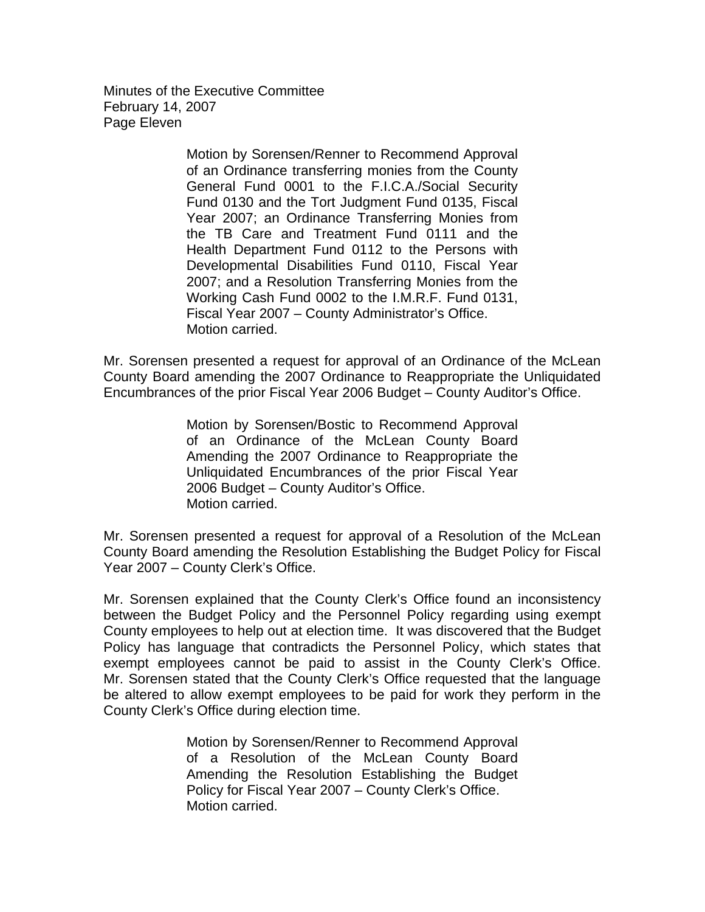Minutes of the Executive Committee February 14, 2007 Page Eleven

> Motion by Sorensen/Renner to Recommend Approval of an Ordinance transferring monies from the County General Fund 0001 to the F.I.C.A./Social Security Fund 0130 and the Tort Judgment Fund 0135, Fiscal Year 2007; an Ordinance Transferring Monies from the TB Care and Treatment Fund 0111 and the Health Department Fund 0112 to the Persons with Developmental Disabilities Fund 0110, Fiscal Year 2007; and a Resolution Transferring Monies from the Working Cash Fund 0002 to the I.M.R.F. Fund 0131, Fiscal Year 2007 – County Administrator's Office. Motion carried.

Mr. Sorensen presented a request for approval of an Ordinance of the McLean County Board amending the 2007 Ordinance to Reappropriate the Unliquidated Encumbrances of the prior Fiscal Year 2006 Budget – County Auditor's Office.

> Motion by Sorensen/Bostic to Recommend Approval of an Ordinance of the McLean County Board Amending the 2007 Ordinance to Reappropriate the Unliquidated Encumbrances of the prior Fiscal Year 2006 Budget – County Auditor's Office. Motion carried.

Mr. Sorensen presented a request for approval of a Resolution of the McLean County Board amending the Resolution Establishing the Budget Policy for Fiscal Year 2007 – County Clerk's Office.

Mr. Sorensen explained that the County Clerk's Office found an inconsistency between the Budget Policy and the Personnel Policy regarding using exempt County employees to help out at election time. It was discovered that the Budget Policy has language that contradicts the Personnel Policy, which states that exempt employees cannot be paid to assist in the County Clerk's Office. Mr. Sorensen stated that the County Clerk's Office requested that the language be altered to allow exempt employees to be paid for work they perform in the County Clerk's Office during election time.

> Motion by Sorensen/Renner to Recommend Approval of a Resolution of the McLean County Board Amending the Resolution Establishing the Budget Policy for Fiscal Year 2007 – County Clerk's Office. Motion carried.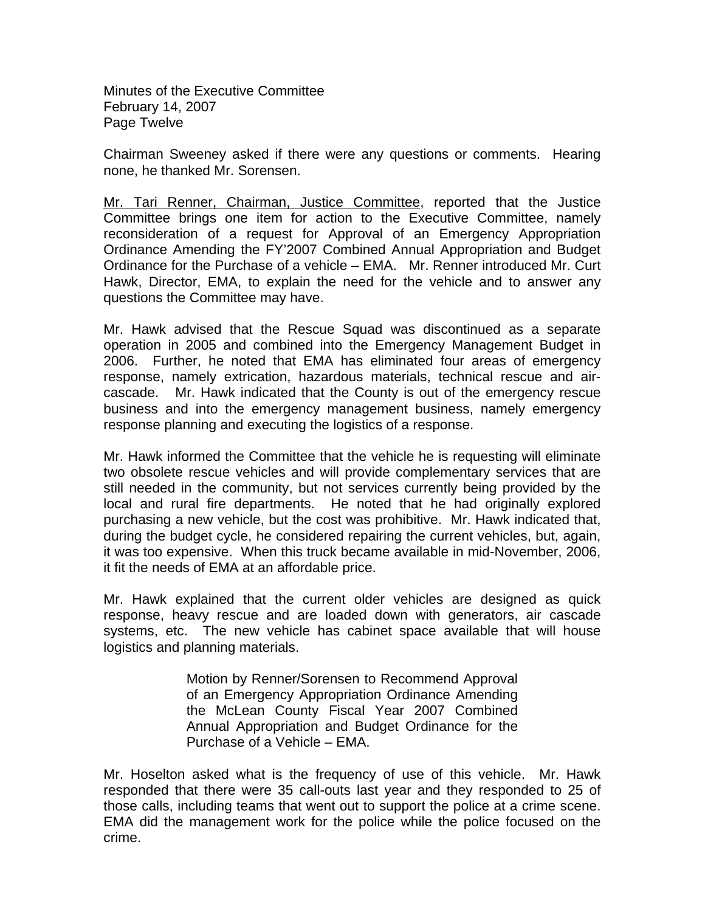Minutes of the Executive Committee February 14, 2007 Page Twelve

Chairman Sweeney asked if there were any questions or comments. Hearing none, he thanked Mr. Sorensen.

Mr. Tari Renner, Chairman, Justice Committee, reported that the Justice Committee brings one item for action to the Executive Committee, namely reconsideration of a request for Approval of an Emergency Appropriation Ordinance Amending the FY'2007 Combined Annual Appropriation and Budget Ordinance for the Purchase of a vehicle – EMA. Mr. Renner introduced Mr. Curt Hawk, Director, EMA, to explain the need for the vehicle and to answer any questions the Committee may have.

Mr. Hawk advised that the Rescue Squad was discontinued as a separate operation in 2005 and combined into the Emergency Management Budget in 2006. Further, he noted that EMA has eliminated four areas of emergency response, namely extrication, hazardous materials, technical rescue and aircascade. Mr. Hawk indicated that the County is out of the emergency rescue business and into the emergency management business, namely emergency response planning and executing the logistics of a response.

Mr. Hawk informed the Committee that the vehicle he is requesting will eliminate two obsolete rescue vehicles and will provide complementary services that are still needed in the community, but not services currently being provided by the local and rural fire departments. He noted that he had originally explored purchasing a new vehicle, but the cost was prohibitive. Mr. Hawk indicated that, during the budget cycle, he considered repairing the current vehicles, but, again, it was too expensive. When this truck became available in mid-November, 2006, it fit the needs of EMA at an affordable price.

Mr. Hawk explained that the current older vehicles are designed as quick response, heavy rescue and are loaded down with generators, air cascade systems, etc. The new vehicle has cabinet space available that will house logistics and planning materials.

> Motion by Renner/Sorensen to Recommend Approval of an Emergency Appropriation Ordinance Amending the McLean County Fiscal Year 2007 Combined Annual Appropriation and Budget Ordinance for the Purchase of a Vehicle – EMA.

Mr. Hoselton asked what is the frequency of use of this vehicle. Mr. Hawk responded that there were 35 call-outs last year and they responded to 25 of those calls, including teams that went out to support the police at a crime scene. EMA did the management work for the police while the police focused on the crime.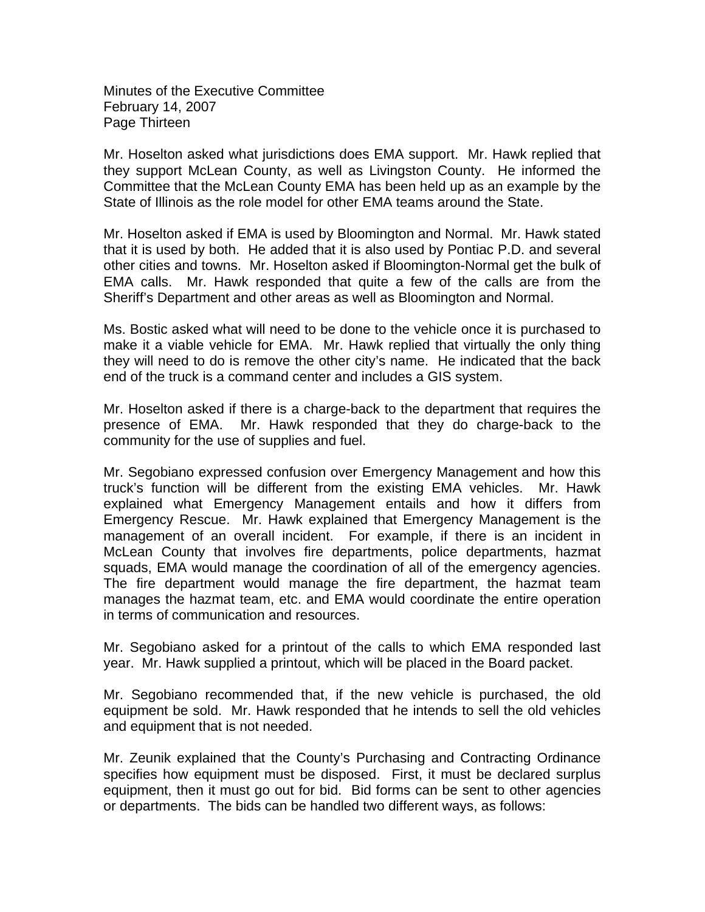Minutes of the Executive Committee February 14, 2007 Page Thirteen

Mr. Hoselton asked what jurisdictions does EMA support. Mr. Hawk replied that they support McLean County, as well as Livingston County. He informed the Committee that the McLean County EMA has been held up as an example by the State of Illinois as the role model for other EMA teams around the State.

Mr. Hoselton asked if EMA is used by Bloomington and Normal. Mr. Hawk stated that it is used by both. He added that it is also used by Pontiac P.D. and several other cities and towns. Mr. Hoselton asked if Bloomington-Normal get the bulk of EMA calls. Mr. Hawk responded that quite a few of the calls are from the Sheriff's Department and other areas as well as Bloomington and Normal.

Ms. Bostic asked what will need to be done to the vehicle once it is purchased to make it a viable vehicle for EMA. Mr. Hawk replied that virtually the only thing they will need to do is remove the other city's name. He indicated that the back end of the truck is a command center and includes a GIS system.

Mr. Hoselton asked if there is a charge-back to the department that requires the presence of EMA. Mr. Hawk responded that they do charge-back to the community for the use of supplies and fuel.

Mr. Segobiano expressed confusion over Emergency Management and how this truck's function will be different from the existing EMA vehicles. Mr. Hawk explained what Emergency Management entails and how it differs from Emergency Rescue. Mr. Hawk explained that Emergency Management is the management of an overall incident. For example, if there is an incident in McLean County that involves fire departments, police departments, hazmat squads, EMA would manage the coordination of all of the emergency agencies. The fire department would manage the fire department, the hazmat team manages the hazmat team, etc. and EMA would coordinate the entire operation in terms of communication and resources.

Mr. Segobiano asked for a printout of the calls to which EMA responded last year. Mr. Hawk supplied a printout, which will be placed in the Board packet.

Mr. Segobiano recommended that, if the new vehicle is purchased, the old equipment be sold. Mr. Hawk responded that he intends to sell the old vehicles and equipment that is not needed.

Mr. Zeunik explained that the County's Purchasing and Contracting Ordinance specifies how equipment must be disposed. First, it must be declared surplus equipment, then it must go out for bid. Bid forms can be sent to other agencies or departments. The bids can be handled two different ways, as follows: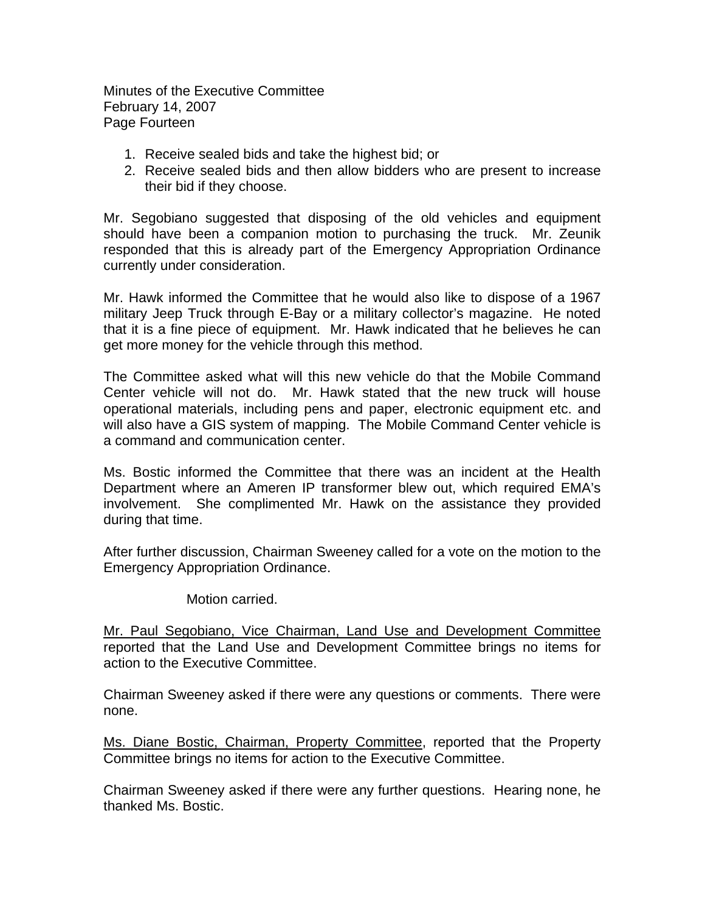Minutes of the Executive Committee February 14, 2007 Page Fourteen

- 1. Receive sealed bids and take the highest bid; or
- 2. Receive sealed bids and then allow bidders who are present to increase their bid if they choose.

Mr. Segobiano suggested that disposing of the old vehicles and equipment should have been a companion motion to purchasing the truck. Mr. Zeunik responded that this is already part of the Emergency Appropriation Ordinance currently under consideration.

Mr. Hawk informed the Committee that he would also like to dispose of a 1967 military Jeep Truck through E-Bay or a military collector's magazine. He noted that it is a fine piece of equipment. Mr. Hawk indicated that he believes he can get more money for the vehicle through this method.

The Committee asked what will this new vehicle do that the Mobile Command Center vehicle will not do. Mr. Hawk stated that the new truck will house operational materials, including pens and paper, electronic equipment etc. and will also have a GIS system of mapping. The Mobile Command Center vehicle is a command and communication center.

Ms. Bostic informed the Committee that there was an incident at the Health Department where an Ameren IP transformer blew out, which required EMA's involvement. She complimented Mr. Hawk on the assistance they provided during that time.

After further discussion, Chairman Sweeney called for a vote on the motion to the Emergency Appropriation Ordinance.

Motion carried.

Mr. Paul Segobiano, Vice Chairman, Land Use and Development Committee reported that the Land Use and Development Committee brings no items for action to the Executive Committee.

Chairman Sweeney asked if there were any questions or comments. There were none.

Ms. Diane Bostic, Chairman, Property Committee, reported that the Property Committee brings no items for action to the Executive Committee.

Chairman Sweeney asked if there were any further questions. Hearing none, he thanked Ms. Bostic.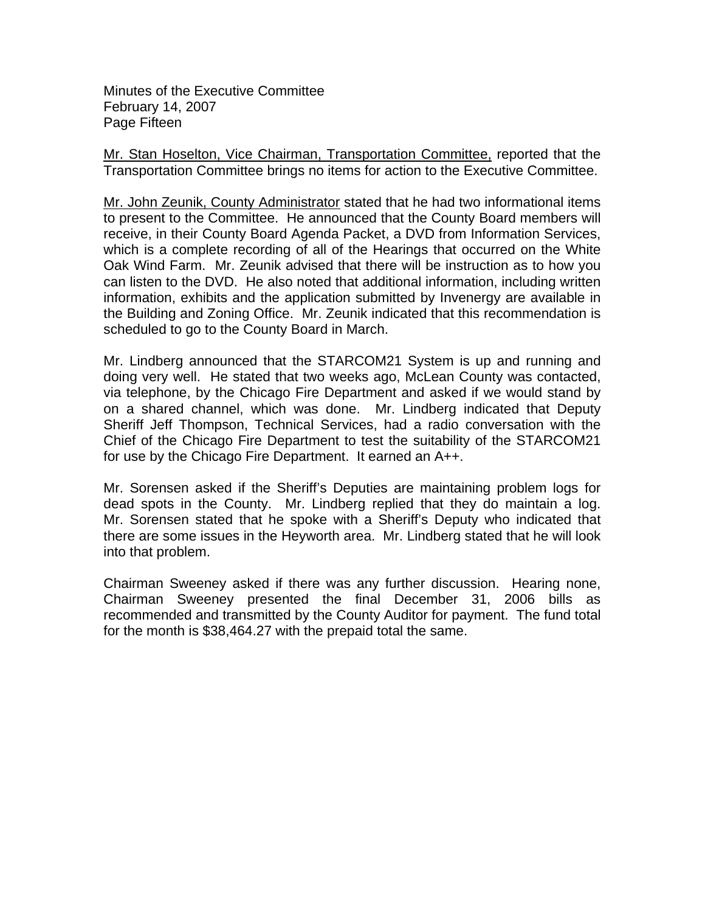Minutes of the Executive Committee February 14, 2007 Page Fifteen

Mr. Stan Hoselton, Vice Chairman, Transportation Committee, reported that the Transportation Committee brings no items for action to the Executive Committee.

Mr. John Zeunik, County Administrator stated that he had two informational items to present to the Committee. He announced that the County Board members will receive, in their County Board Agenda Packet, a DVD from Information Services, which is a complete recording of all of the Hearings that occurred on the White Oak Wind Farm. Mr. Zeunik advised that there will be instruction as to how you can listen to the DVD. He also noted that additional information, including written information, exhibits and the application submitted by Invenergy are available in the Building and Zoning Office. Mr. Zeunik indicated that this recommendation is scheduled to go to the County Board in March.

Mr. Lindberg announced that the STARCOM21 System is up and running and doing very well. He stated that two weeks ago, McLean County was contacted, via telephone, by the Chicago Fire Department and asked if we would stand by on a shared channel, which was done. Mr. Lindberg indicated that Deputy Sheriff Jeff Thompson, Technical Services, had a radio conversation with the Chief of the Chicago Fire Department to test the suitability of the STARCOM21 for use by the Chicago Fire Department. It earned an A++.

Mr. Sorensen asked if the Sheriff's Deputies are maintaining problem logs for dead spots in the County. Mr. Lindberg replied that they do maintain a log. Mr. Sorensen stated that he spoke with a Sheriff's Deputy who indicated that there are some issues in the Heyworth area. Mr. Lindberg stated that he will look into that problem.

Chairman Sweeney asked if there was any further discussion. Hearing none, Chairman Sweeney presented the final December 31, 2006 bills as recommended and transmitted by the County Auditor for payment. The fund total for the month is \$38,464.27 with the prepaid total the same.